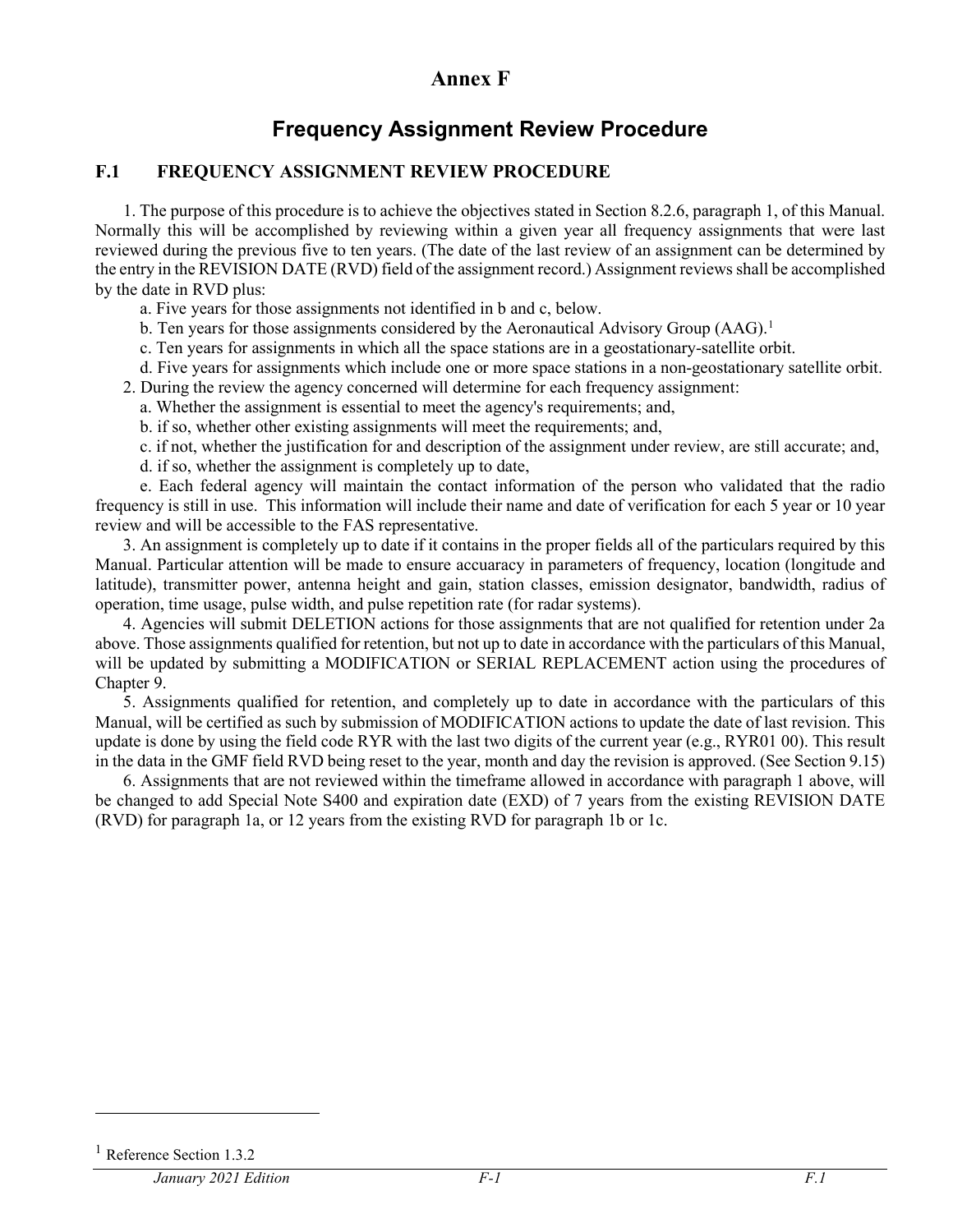## **Annex F**

## **Frequency Assignment Review Procedure**

## **F.1 FREQUENCY ASSIGNMENT REVIEW PROCEDURE**

1. The purpose of this procedure is to achieve the objectives stated in Section 8.2.6, paragraph 1, of this Manual. Normally this will be accomplished by reviewing within a given year all frequency assignments that were last reviewed during the previous five to ten years. (The date of the last review of an assignment can be determined by the entry in the REVISION DATE (RVD) field of the assignment record.) Assignment reviews shall be accomplished by the date in RVD plus:

a. Five years for those assignments not identified in b and c, below.

- b. Ten years for those assignments considered by the Aeronautical Advisory Group  $(AAG)^{1}$  $(AAG)^{1}$  $(AAG)^{1}$
- c. Ten years for assignments in which all the space stations are in a geostationary-satellite orbit.
- d. Five years for assignments which include one or more space stations in a non-geostationary satellite orbit.
- 2. During the review the agency concerned will determine for each frequency assignment:
	- a. Whether the assignment is essential to meet the agency's requirements; and,
	- b. if so, whether other existing assignments will meet the requirements; and,
	- c. if not, whether the justification for and description of the assignment under review, are still accurate; and,
	- d. if so, whether the assignment is completely up to date,

e. Each federal agency will maintain the contact information of the person who validated that the radio frequency is still in use. This information will include their name and date of verification for each 5 year or 10 year review and will be accessible to the FAS representative.

3. An assignment is completely up to date if it contains in the proper fields all of the particulars required by this Manual. Particular attention will be made to ensure accuaracy in parameters of frequency, location (longitude and latitude), transmitter power, antenna height and gain, station classes, emission designator, bandwidth, radius of operation, time usage, pulse width, and pulse repetition rate (for radar systems).

4. Agencies will submit DELETION actions for those assignments that are not qualified for retention under 2a above. Those assignments qualified for retention, but not up to date in accordance with the particulars of this Manual, will be updated by submitting a MODIFICATION or SERIAL REPLACEMENT action using the procedures of Chapter 9.

5. Assignments qualified for retention, and completely up to date in accordance with the particulars of this Manual, will be certified as such by submission of MODIFICATION actions to update the date of last revision. This update is done by using the field code RYR with the last two digits of the current year (e.g., RYR01 00). This result in the data in the GMF field RVD being reset to the year, month and day the revision is approved. (See Section 9.15)

6. Assignments that are not reviewed within the timeframe allowed in accordance with paragraph 1 above, will be changed to add Special Note S400 and expiration date (EXD) of 7 years from the existing REVISION DATE (RVD) for paragraph 1a, or 12 years from the existing RVD for paragraph 1b or 1c.

 $\overline{a}$ 

<span id="page-0-0"></span>Reference Section 1.3.2